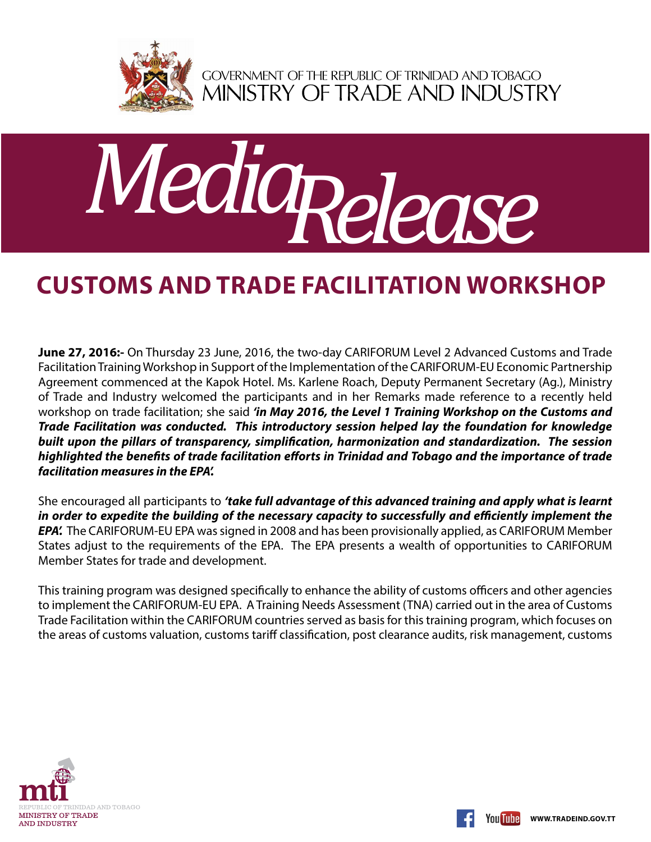

GOVERNMENT OF THE REPUBLIC OF TRINIDAD AND TOBAGO<br>MINISTRY OF TRADE AND INDUSTRY



## **Customs and Trade Facilitation Workshop**

**June 27, 2016:-** On Thursday 23 June, 2016, the two-day CARIFORUM Level 2 Advanced Customs and Trade Facilitation Training Workshop in Support of the Implementation of the CARIFORUM-EU Economic Partnership Agreement commenced at the Kapok Hotel. Ms. Karlene Roach, Deputy Permanent Secretary (Ag.), Ministry of Trade and Industry welcomed the participants and in her Remarks made reference to a recently held workshop on trade facilitation; she said *'in May 2016, the Level 1 Training Workshop on the Customs and Trade Facilitation was conducted. This introductory session helped lay the foundation for knowledge built upon the pillars of transparency, simplification, harmonization and standardization. The session highlighted the benefits of trade facilitation efforts in Trinidad and Tobago and the importance of trade facilitation measures in the EPA'.*

She encouraged all participants to *'take full advantage of this advanced training and apply what is learnt in order to expedite the building of the necessary capacity to successfully and efficiently implement the EPA'.* The CARIFORUM-EU EPA was signed in 2008 and has been provisionally applied, as CARIFORUM Member States adjust to the requirements of the EPA. The EPA presents a wealth of opportunities to CARIFORUM Member States for trade and development.

This training program was designed specifically to enhance the ability of customs officers and other agencies to implement the CARIFORUM-EU EPA. A Training Needs Assessment (TNA) carried out in the area of Customs Trade Facilitation within the CARIFORUM countries served as basis for this training program, which focuses on the areas of customs valuation, customs tariff classification, post clearance audits, risk management, customs